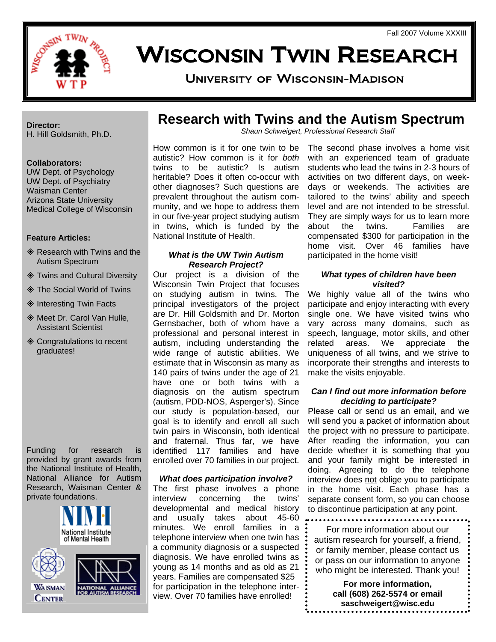

# WISCONSIN TWIN RESEARCH University of Wisconsin-Madison

**Director:**  H. Hill Goldsmith, Ph.D.

#### **Collaborators:**

UW Dept. of Psychology UW Dept. of Psychiatry Waisman Center Arizona State University Medical College of Wisconsin

#### **Feature Articles:**

- **♦ Research with Twins and the** Autism Spectrum
- Twins and Cultural Diversity
- The Social World of Twins
- ♦ Interesting Twin Facts
- ◆ Meet Dr. Carol Van Hulle. Assistant Scientist
- ♦ Congratulations to recent graduates!

Funding for research is provided by grant awards from the National Institute of Health, National Alliance for Autism Research, Waisman Center & private foundations.





## **Research with Twins and the Autism Spectrum**

*Shaun Schweigert, Professional Research Staff* 

How common is it for one twin to be autistic? How common is it for *both* twins to be autistic? Is autism heritable? Does it often co-occur with other diagnoses? Such questions are prevalent throughout the autism community, and we hope to address them in our five-year project studying autism in twins, which is funded by the National Institute of Health.

#### *What is the UW Twin Autism Research Project?*

Our project is a division of the Wisconsin Twin Project that focuses on studying autism in twins. The principal investigators of the project are Dr. Hill Goldsmith and Dr. Morton Gernsbacher, both of whom have a professional and personal interest in autism, including understanding the wide range of autistic abilities. We estimate that in Wisconsin as many as 140 pairs of twins under the age of 21 have one or both twins with a diagnosis on the autism spectrum (autism, PDD-NOS, Asperger's). Since our study is population-based, our goal is to identify and enroll all such twin pairs in Wisconsin, both identical and fraternal. Thus far, we have identified 117 families and have enrolled over 70 families in our project.

#### *What does participation involve?*

The first phase involves a phone interview concerning the twins' developmental and medical history and usually takes about 45-60 minutes. We enroll families in a telephone interview when one twin has a community diagnosis or a suspected diagnosis. We have enrolled twins as young as 14 months and as old as 21 years. Families are compensated \$25 for participation in the telephone interview. Over 70 families have enrolled!

The second phase involves a home visit with an experienced team of graduate students who lead the twins in 2-3 hours of activities on two different days, on weekdays or weekends. The activities are tailored to the twins' ability and speech level and are not intended to be stressful. They are simply ways for us to learn more about the twins. Families are compensated \$300 for participation in the home visit. Over 46 families have participated in the home visit!

#### *What types of children have been visited?*

We highly value all of the twins who participate and enjoy interacting with every single one. We have visited twins who vary across many domains, such as speech, language, motor skills, and other related areas. We appreciate the uniqueness of all twins, and we strive to incorporate their strengths and interests to make the visits enjoyable.

#### *Can I find out more information before deciding to participate?*

Please call or send us an email, and we will send you a packet of information about the project with no pressure to participate. After reading the information, you can decide whether it is something that you and your family might be interested in doing. Agreeing to do the telephone interview does not oblige you to participate in the home visit. Each phase has a separate consent form, so you can choose to discontinue participation at any point.

For more information about our autism research for yourself, a friend, or family member, please contact us or pass on our information to anyone who might be interested. Thank you!

> **For more information, call (608) 262-5574 or email saschweigert@wisc.edu**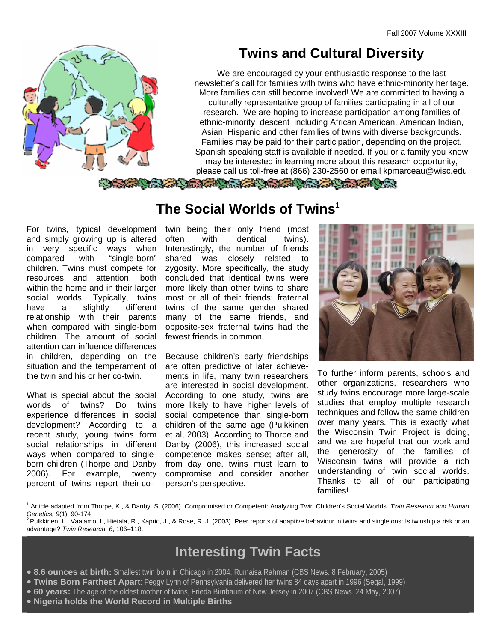

## **Twins and Cultural Diversity**

We are encouraged by your enthusiastic response to the last newsletter's call for families with twins who have ethnic-minority heritage. More families can still become involved! We are committed to having a culturally representative group of families participating in all of our research. We are hoping to increase participation among families of ethnic-minority descent including African American, American Indian, Asian, Hispanic and other families of twins with diverse backgrounds. Families may be paid for their participation, depending on the project. Spanish speaking staff is available if needed. If you or a family you know may be interested in learning more about this research opportunity, please call us toll-free at (866) 230-2560 or email kpmarceau@wisc.edu

The Commission of the Commission of the Commission of the Commission of the Commission of the Commission of the Commission of the Commission of the Commission of the Commission of the Commission of the Commission of the Co

For twins, typical development and simply growing up is altered in very specific ways when compared with "single-born" children. Twins must compete for resources and attention, both within the home and in their larger social worlds. Typically, twins have a slightly different relationship with their parents when compared with single-born children. The amount of social attention can influence differences in children, depending on the situation and the temperament of the twin and his or her co-twin.

What is special about the social worlds of twins? Do twins experience differences in social development? According to a recent study, young twins form social relationships in different ways when compared to singleborn children (Thorpe and Danby 2006). For example, twenty percent of twins report their co-

### **The Social Worlds of Twins**<sup>1</sup>

twin being their only friend (most often with identical twins). Interestingly, the number of friends shared was closely related to zygosity. More specifically, the study concluded that identical twins were more likely than other twins to share most or all of their friends; fraternal twins of the same gender shared many of the same friends, and opposite-sex fraternal twins had the fewest friends in common.

Because children's early friendships are often predictive of later achievements in life, many twin researchers are interested in social development. According to one study, twins are more likely to have higher levels of social competence than single-born children of the same age (Pulkkinen et al, 2003). According to Thorpe and Danby (2006), this increased social competence makes sense; after all, from day one, twins must learn to compromise and consider another person's perspective.



To further inform parents, schools and other organizations, researchers who study twins encourage more large-scale studies that employ multiple research techniques and follow the same children over many years. This is exactly what the Wisconsin Twin Project is doing, and we are hopeful that our work and the generosity of the families of Wisconsin twins will provide a rich understanding of twin social worlds. Thanks to all of our participating families!

1 Article adapted from Thorpe, K., & Danby, S. (2006). Compromised or Competent: Analyzing Twin Children's Social Worlds. *Twin Research and Human Genetics, 9*(1), 90-174.<br><sup>2</sup> Pulkkinen, L., Vaalamo, I., Hietala, R., Kaprio, J., & Rose, R. J. (2003). Peer reports of adaptive behaviour in twins and singletons: Is twinship a risk or an

advantage? *Twin Research, 6*, 106–118.

## **Interesting Twin Facts**

- y **8.6 ounces at birth:** Smallest twin born in Chicago in 2004, Rumaisa Rahman (CBS News. 8 February, 2005)
- y **Twins Born Farthest Apart**: Peggy Lynn of Pennsylvania delivered her twins 84 days apart in 1996 (Segal, 1999)
- y **60 years:** The age of the oldest mother of twins, Frieda Birnbaum of New Jersey in 2007 (CBS News. 24 May, 2007)
- **Nigeria holds the World Record in Multiple Births.**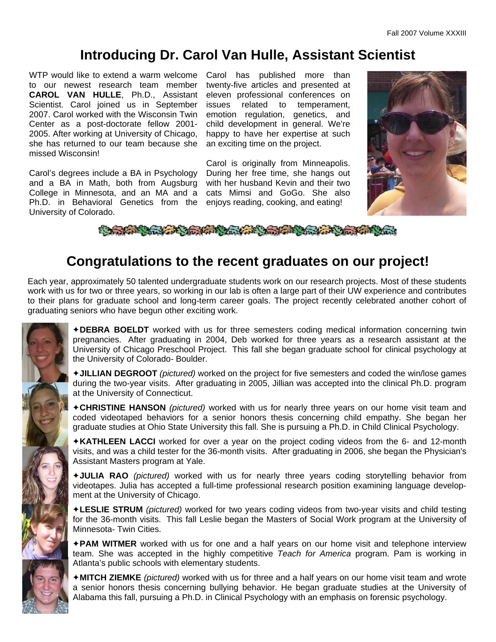## **Introducing Dr. Carol Van Hulle, Assistant Scientist**

WTP would like to extend a warm welcome to our newest research team member **CAROL VAN HULLE**, Ph.D., Assistant Scientist. Carol joined us in September 2007. Carol worked with the Wisconsin Twin Center as a post-doctorate fellow 2001- 2005. After working at University of Chicago, she has returned to our team because she missed Wisconsin!

Carol's degrees include a BA in Psychology and a BA in Math, both from Augsburg College in Minnesota, and an MA and a Ph.D. in Behavioral Genetics from the University of Colorado.

Carol has published more than twenty-five articles and presented at eleven professional conferences on issues related to temperament, emotion regulation, genetics, and child development in general. We're happy to have her expertise at such an exciting time on the project.

Carol is originally from Minneapolis. During her free time, she hangs out with her husband Kevin and their two cats Mimsi and GoGo. She also enjoys reading, cooking, and eating!



Comment of the first the contract of the comment of the contract of the contract of the

## **Congratulations to the recent graduates on our project!**

Each year, approximately 50 talented undergraduate students work on our research projects. Most of these students work with us for two or three years, so working in our lab is often a large part of their UW experience and contributes to their plans for graduate school and long-term career goals. The project recently celebrated another cohort of graduating seniors who have begun other exciting work.

> Ø**DEBRA BOELDT** worked with us for three semesters coding medical information concerning twin pregnancies. After graduating in 2004, Deb worked for three years as a research assistant at the University of Chicago Preschool Project. This fall she began graduate school for clinical psychology at the University of Colorado- Boulder.

> Ø**JILLIAN DEGROOT** *(pictured)* worked on the project for five semesters and coded the win/lose games during the two-year visits. After graduating in 2005, Jillian was accepted into the clinical Ph.D. program at the University of Connecticut.

> Ø**CHRISTINE HANSON** *(pictured)* worked with us for nearly three years on our home visit team and coded videotaped behaviors for a senior honors thesis concerning child empathy. She began her graduate studies at Ohio State University this fall. She is pursuing a Ph.D. in Child Clinical Psychology.

> Ø**KATHLEEN LACCI** worked for over a year on the project coding videos from the 6- and 12-month visits, and was a child tester for the 36-month visits. After graduating in 2006, she began the Physician's Assistant Masters program at Yale.

> Ø**JULIA RAO** *(pictured)* worked with us for nearly three years coding storytelling behavior from videotapes. Julia has accepted a full-time professional research position examining language development at the University of Chicago.

> Ø**LESLIE STRUM** *(pictured)* worked for two years coding videos from two-year visits and child testing for the 36-month visits. This fall Leslie began the Masters of Social Work program at the University of Minnesota- Twin Cities.

> Ø**PAM WITMER** worked with us for one and a half years on our home visit and telephone interview team. She was accepted in the highly competitive *Teach for America* program. Pam is working in Atlanta's public schools with elementary students.

> Ø**MITCH ZIEMKE** *(pictured)* worked with us for three and a half years on our home visit team and wrote a senior honors thesis concerning bullying behavior. He began graduate studies at the University of Alabama this fall, pursuing a Ph.D. in Clinical Psychology with an emphasis on forensic psychology.